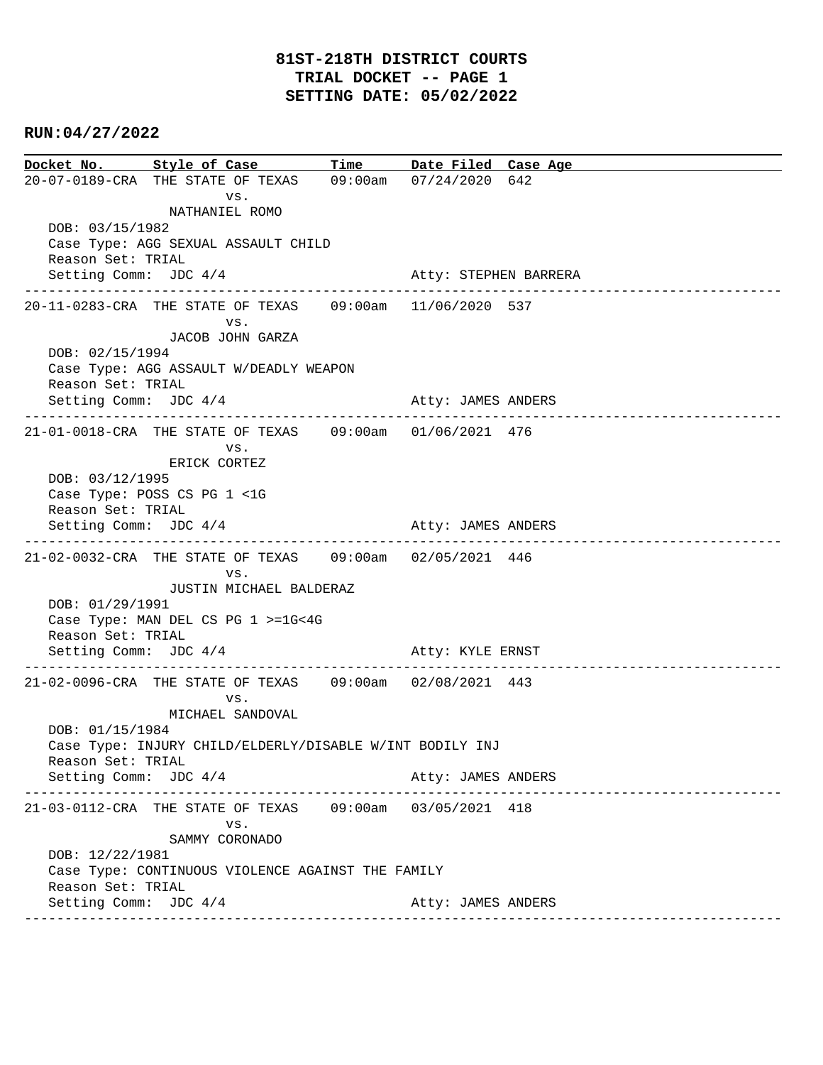**Docket No. Style of Case Time Date Filed Case Age**  20-07-0189-CRA THE STATE OF TEXAS 09:00am 07/24/2020 642 vs. NATHANIEL ROMO DOB: 03/15/1982 Case Type: AGG SEXUAL ASSAULT CHILD Reason Set: TRIAL Setting Comm: JDC  $4/4$  Atty: STEPHEN BARRERA ---------------------------------------------------------------------------------------------- 20-11-0283-CRA THE STATE OF TEXAS 09:00am 11/06/2020 537 vs. JACOB JOHN GARZA DOB: 02/15/1994 Case Type: AGG ASSAULT W/DEADLY WEAPON Reason Set: TRIAL Setting Comm: JDC 4/4 Atty: JAMES ANDERS ---------------------------------------------------------------------------------------------- 21-01-0018-CRA THE STATE OF TEXAS 09:00am 01/06/2021 476 vs. ERICK CORTEZ DOB: 03/12/1995 Case Type: POSS CS PG 1 <1G Reason Set: TRIAL Setting Comm: JDC  $4/4$  Atty: JAMES ANDERS ---------------------------------------------------------------------------------------------- 21-02-0032-CRA THE STATE OF TEXAS 09:00am 02/05/2021 446 vs. JUSTIN MICHAEL BALDERAZ DOB: 01/29/1991 Case Type: MAN DEL CS PG 1 >=1G<4G Reason Set: TRIAL Setting Comm: JDC 4/4 Atty: KYLE ERNST ---------------------------------------------------------------------------------------------- 21-02-0096-CRA THE STATE OF TEXAS 09:00am 02/08/2021 443 vs. MICHAEL SANDOVAL DOB: 01/15/1984 Case Type: INJURY CHILD/ELDERLY/DISABLE W/INT BODILY INJ Reason Set: TRIAL Setting Comm: JDC  $4/4$  Atty: JAMES ANDERS ---------------------------------------------------------------------------------------------- 21-03-0112-CRA THE STATE OF TEXAS 09:00am 03/05/2021 418 vs. SAMMY CORONADO DOB: 12/22/1981 Case Type: CONTINUOUS VIOLENCE AGAINST THE FAMILY Reason Set: TRIAL Setting Comm: JDC 4/4 Atty: JAMES ANDERS ----------------------------------------------------------------------------------------------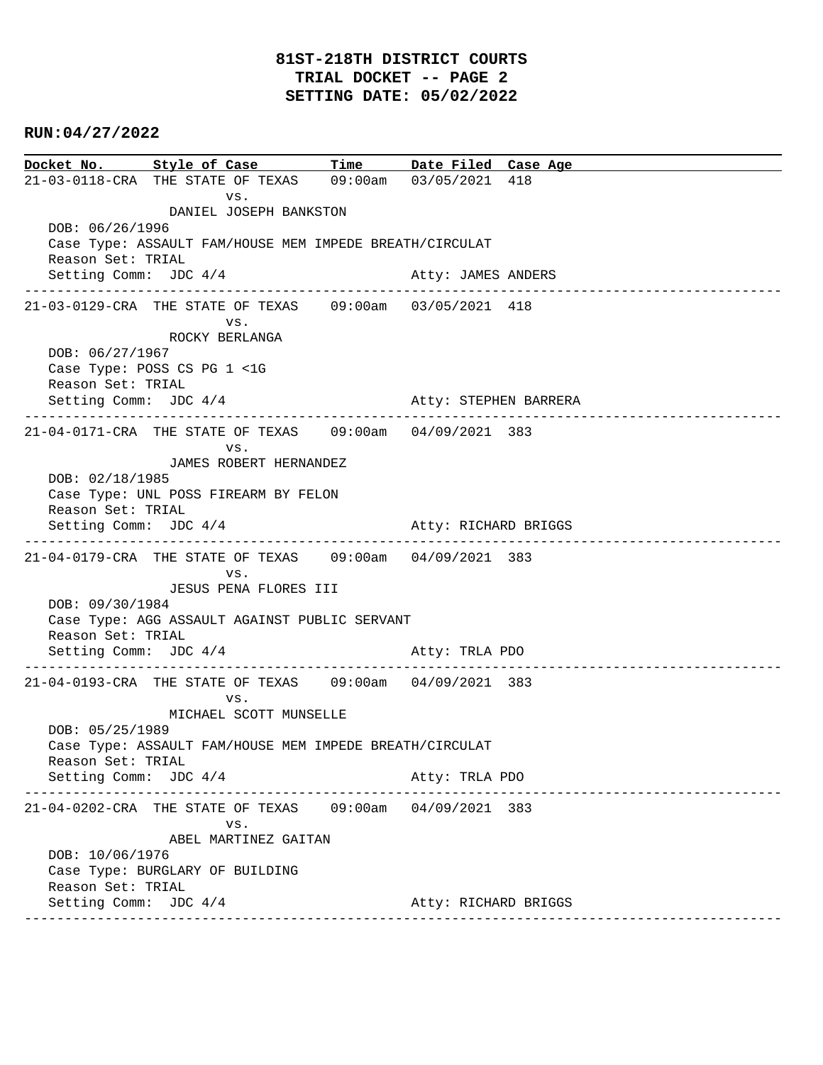# **81ST-218TH DISTRICT COURTS TRIAL DOCKET -- PAGE 2 SETTING DATE: 05/02/2022**

## **RUN:04/27/2022**

**Docket No. Style of Case Time Date Filed Case Age**  21-03-0118-CRA THE STATE OF TEXAS 09:00am 03/05/2021 418 vs. DANIEL JOSEPH BANKSTON DOB: 06/26/1996 Case Type: ASSAULT FAM/HOUSE MEM IMPEDE BREATH/CIRCULAT Reason Set: TRIAL Setting Comm: JDC 4/4 Atty: JAMES ANDERS ---------------------------------------------------------------------------------------------- 21-03-0129-CRA THE STATE OF TEXAS 09:00am 03/05/2021 418 vs. ROCKY BERLANGA DOB: 06/27/1967 Case Type: POSS CS PG 1 <1G Reason Set: TRIAL Setting Comm: JDC 4/4 Atty: STEPHEN BARRERA ---------------------------------------------------------------------------------------------- 21-04-0171-CRA THE STATE OF TEXAS 09:00am 04/09/2021 383 vs. JAMES ROBERT HERNANDEZ DOB: 02/18/1985 Case Type: UNL POSS FIREARM BY FELON Reason Set: TRIAL Setting Comm: JDC 4/4 Atty: RICHARD BRIGGS ---------------------------------------------------------------------------------------------- 21-04-0179-CRA THE STATE OF TEXAS 09:00am 04/09/2021 383 vs. JESUS PENA FLORES III DOB: 09/30/1984 Case Type: AGG ASSAULT AGAINST PUBLIC SERVANT Reason Set: TRIAL Setting Comm: JDC 4/4 Atty: TRLA PDO ---------------------------------------------------------------------------------------------- 21-04-0193-CRA THE STATE OF TEXAS 09:00am 04/09/2021 383 vs. MICHAEL SCOTT MUNSELLE DOB: 05/25/1989 Case Type: ASSAULT FAM/HOUSE MEM IMPEDE BREATH/CIRCULAT Reason Set: TRIAL Setting Comm: JDC 4/4 Atty: TRLA PDO ---------------------------------------------------------------------------------------------- 21-04-0202-CRA THE STATE OF TEXAS 09:00am 04/09/2021 383 vs. ABEL MARTINEZ GAITAN DOB: 10/06/1976 Case Type: BURGLARY OF BUILDING Reason Set: TRIAL Setting Comm: JDC 4/4 Atty: RICHARD BRIGGS ----------------------------------------------------------------------------------------------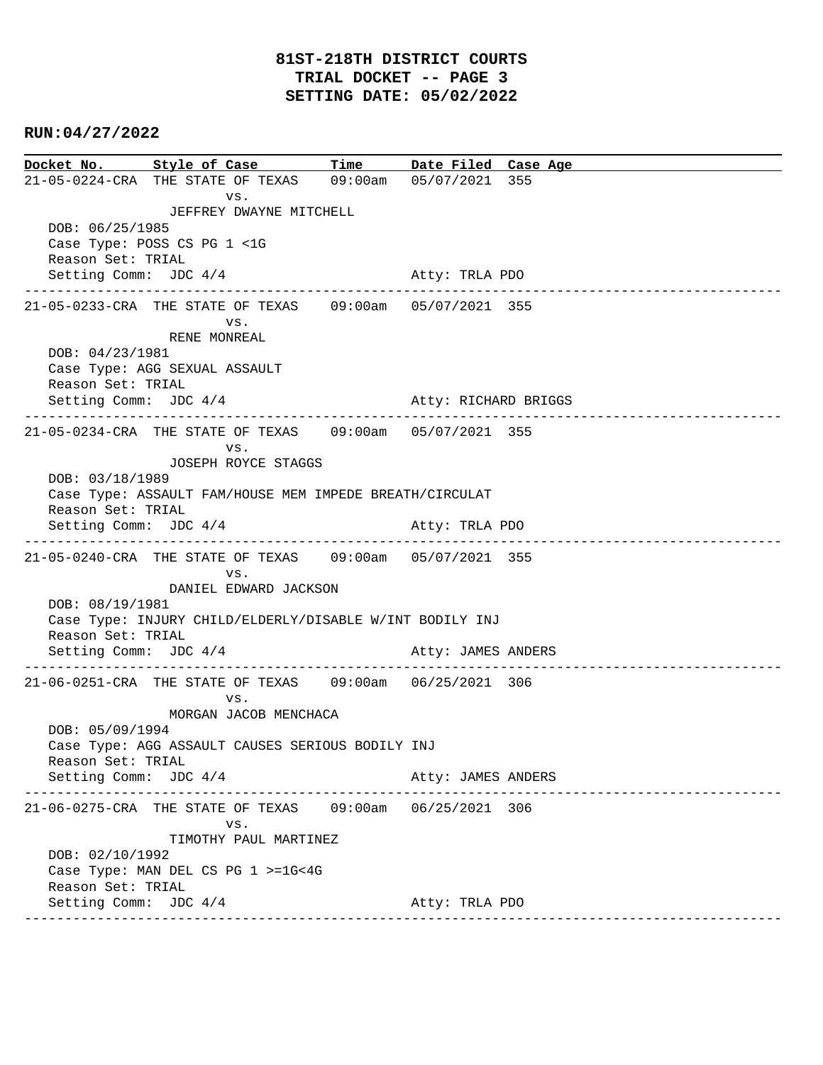**Docket No. Style of Case Time Date Filed Case Age**  21-05-0224-CRA THE STATE OF TEXAS 09:00am 05/07/2021 355 vs. JEFFREY DWAYNE MITCHELL DOB: 06/25/1985 Case Type: POSS CS PG 1 <1G Reason Set: TRIAL Setting Comm: JDC  $4/4$  Atty: TRLA PDO ---------------------------------------------------------------------------------------------- 21-05-0233-CRA THE STATE OF TEXAS 09:00am 05/07/2021 355 vs. RENE MONREAL DOB: 04/23/1981 Case Type: AGG SEXUAL ASSAULT Reason Set: TRIAL Setting Comm: JDC 4/4 Atty: RICHARD BRIGGS ---------------------------------------------------------------------------------------------- 21-05-0234-CRA THE STATE OF TEXAS 09:00am 05/07/2021 355 vs. JOSEPH ROYCE STAGGS DOB: 03/18/1989 Case Type: ASSAULT FAM/HOUSE MEM IMPEDE BREATH/CIRCULAT Reason Set: TRIAL Setting Comm: JDC 4/4 Atty: TRLA PDO ---------------------------------------------------------------------------------------------- 21-05-0240-CRA THE STATE OF TEXAS 09:00am 05/07/2021 355 vs. DANIEL EDWARD JACKSON DOB: 08/19/1981 Case Type: INJURY CHILD/ELDERLY/DISABLE W/INT BODILY INJ Reason Set: TRIAL Setting Comm: JDC 4/4 Atty: JAMES ANDERS ---------------------------------------------------------------------------------------------- 21-06-0251-CRA THE STATE OF TEXAS 09:00am 06/25/2021 306 vs. MORGAN JACOB MENCHACA DOB: 05/09/1994 Case Type: AGG ASSAULT CAUSES SERIOUS BODILY INJ Reason Set: TRIAL Setting Comm: JDC 4/4 Atty: JAMES ANDERS ---------------------------------------------------------------------------------------------- 21-06-0275-CRA THE STATE OF TEXAS 09:00am 06/25/2021 306 vs. TIMOTHY PAUL MARTINEZ DOB: 02/10/1992 Case Type: MAN DEL CS PG 1 >=1G<4G Reason Set: TRIAL Setting Comm: JDC 4/4 Atty: TRLA PDO ----------------------------------------------------------------------------------------------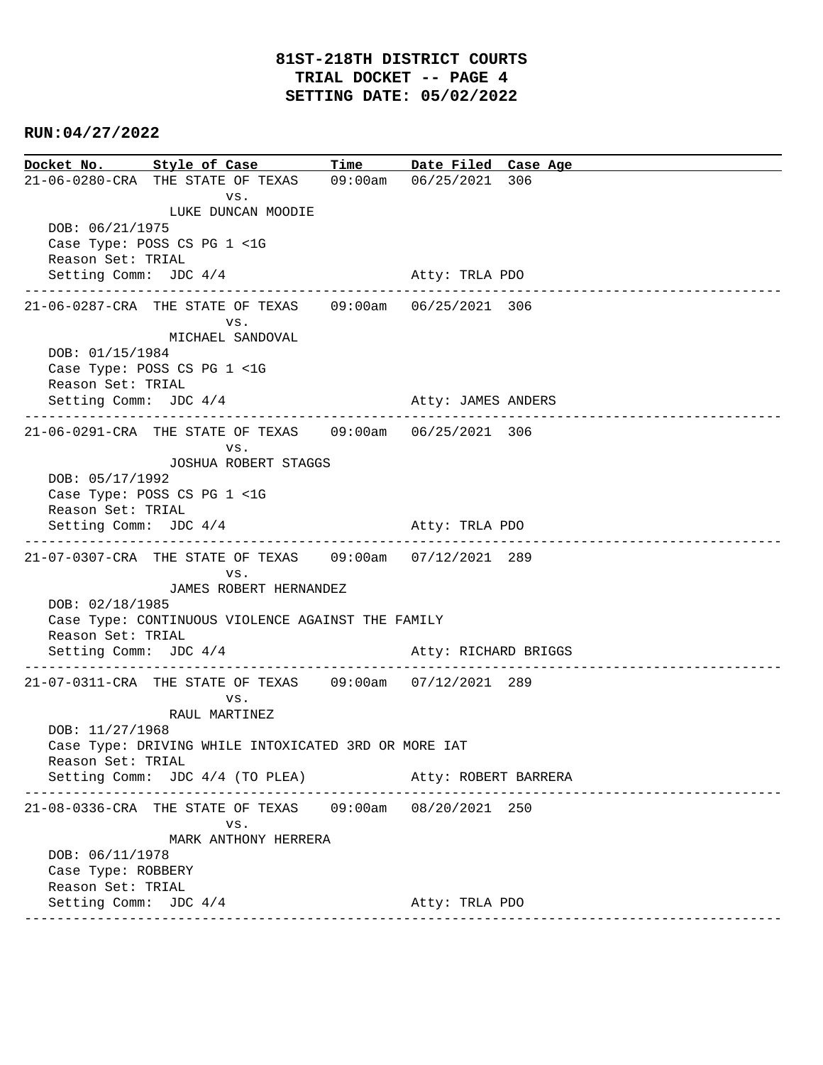**Docket No. Style of Case Time Date Filed Case Age**  21-06-0280-CRA THE STATE OF TEXAS 09:00am 06/25/2021 306 vs. LUKE DUNCAN MOODIE DOB: 06/21/1975 Case Type: POSS CS PG 1 <1G Reason Set: TRIAL Setting Comm: JDC  $4/4$  Atty: TRLA PDO ---------------------------------------------------------------------------------------------- 21-06-0287-CRA THE STATE OF TEXAS 09:00am 06/25/2021 306 vs. MICHAEL SANDOVAL DOB: 01/15/1984 Case Type: POSS CS PG 1 <1G Reason Set: TRIAL Setting Comm: JDC 4/4 Atty: JAMES ANDERS ---------------------------------------------------------------------------------------------- 21-06-0291-CRA THE STATE OF TEXAS 09:00am 06/25/2021 306 vs. JOSHUA ROBERT STAGGS DOB: 05/17/1992 Case Type: POSS CS PG 1 <1G Reason Set: TRIAL Setting Comm: JDC 4/4 Atty: TRLA PDO ---------------------------------------------------------------------------------------------- 21-07-0307-CRA THE STATE OF TEXAS 09:00am 07/12/2021 289 vs. JAMES ROBERT HERNANDEZ DOB: 02/18/1985 Case Type: CONTINUOUS VIOLENCE AGAINST THE FAMILY Reason Set: TRIAL Setting Comm: JDC 4/4 Atty: RICHARD BRIGGS ---------------------------------------------------------------------------------------------- 21-07-0311-CRA THE STATE OF TEXAS 09:00am 07/12/2021 289 vs. RAUL MARTINEZ DOB: 11/27/1968 Case Type: DRIVING WHILE INTOXICATED 3RD OR MORE IAT Reason Set: TRIAL Setting Comm: JDC 4/4 (TO PLEA) Atty: ROBERT BARRERA ---------------------------------------------------------------------------------------------- 21-08-0336-CRA THE STATE OF TEXAS 09:00am 08/20/2021 250 vs. MARK ANTHONY HERRERA DOB: 06/11/1978 Case Type: ROBBERY Reason Set: TRIAL Setting Comm: JDC 4/4 Atty: TRLA PDO ----------------------------------------------------------------------------------------------